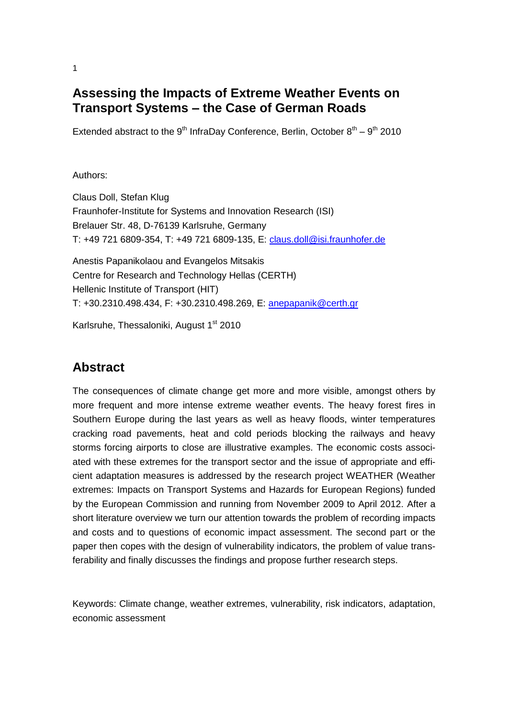# **Assessing the Impacts of Extreme Weather Events on Transport Systems – the Case of German Roads**

Extended abstract to the  $9<sup>th</sup>$  InfraDay Conference, Berlin, October  $8<sup>th</sup> - 9<sup>th</sup>$  2010

#### Authors:

Claus Doll, Stefan Klug Fraunhofer-Institute for Systems and Innovation Research (ISI) Brelauer Str. 48, D-76139 Karlsruhe, Germany T: +49 721 6809-354, T: +49 721 6809-135, E: [claus.doll@isi.fraunhofer.de](mailto:claus.doll@isi.fraunhofer.de)

Anestis Papanikolaou and Evangelos Mitsakis Centre for Research and Technology Hellas (CERTH) Hellenic Institute of Transport (HIT) T: +30.2310.498.434, F: +30.2310.498.269, E: [anepapanik@certh.gr](mailto:anepapanik@certh.gr)

Karlsruhe, Thessaloniki, August 1<sup>st</sup> 2010

#### **Abstract**

The consequences of climate change get more and more visible, amongst others by more frequent and more intense extreme weather events. The heavy forest fires in Southern Europe during the last years as well as heavy floods, winter temperatures cracking road pavements, heat and cold periods blocking the railways and heavy storms forcing airports to close are illustrative examples. The economic costs associated with these extremes for the transport sector and the issue of appropriate and efficient adaptation measures is addressed by the research project WEATHER (Weather extremes: Impacts on Transport Systems and Hazards for European Regions) funded by the European Commission and running from November 2009 to April 2012. After a short literature overview we turn our attention towards the problem of recording impacts and costs and to questions of economic impact assessment. The second part or the paper then copes with the design of vulnerability indicators, the problem of value transferability and finally discusses the findings and propose further research steps.

Keywords: Climate change, weather extremes, vulnerability, risk indicators, adaptation, economic assessment

1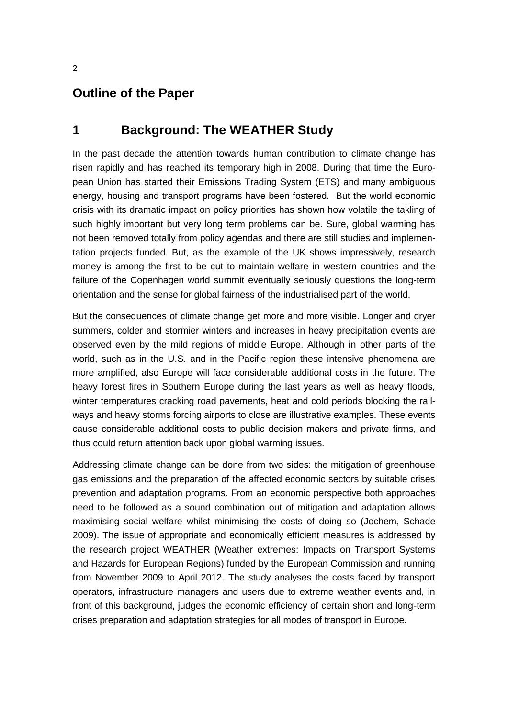#### **Outline of the Paper**

#### **1 Background: The WEATHER Study**

In the past decade the attention towards human contribution to climate change has risen rapidly and has reached its temporary high in 2008. During that time the European Union has started their Emissions Trading System (ETS) and many ambiguous energy, housing and transport programs have been fostered. But the world economic crisis with its dramatic impact on policy priorities has shown how volatile the takling of such highly important but very long term problems can be. Sure, global warming has not been removed totally from policy agendas and there are still studies and implementation projects funded. But, as the example of the UK shows impressively, research money is among the first to be cut to maintain welfare in western countries and the failure of the Copenhagen world summit eventually seriously questions the long-term orientation and the sense for global fairness of the industrialised part of the world.

But the consequences of climate change get more and more visible. Longer and dryer summers, colder and stormier winters and increases in heavy precipitation events are observed even by the mild regions of middle Europe. Although in other parts of the world, such as in the U.S. and in the Pacific region these intensive phenomena are more amplified, also Europe will face considerable additional costs in the future. The heavy forest fires in Southern Europe during the last years as well as heavy floods, winter temperatures cracking road pavements, heat and cold periods blocking the railways and heavy storms forcing airports to close are illustrative examples. These events cause considerable additional costs to public decision makers and private firms, and thus could return attention back upon global warming issues.

Addressing climate change can be done from two sides: the mitigation of greenhouse gas emissions and the preparation of the affected economic sectors by suitable crises prevention and adaptation programs. From an economic perspective both approaches need to be followed as a sound combination out of mitigation and adaptation allows maximising social welfare whilst minimising the costs of doing so (Jochem, Schade 2009). The issue of appropriate and economically efficient measures is addressed by the research project WEATHER (Weather extremes: Impacts on Transport Systems and Hazards for European Regions) funded by the European Commission and running from November 2009 to April 2012. The study analyses the costs faced by transport operators, infrastructure managers and users due to extreme weather events and, in front of this background, judges the economic efficiency of certain short and long-term crises preparation and adaptation strategies for all modes of transport in Europe.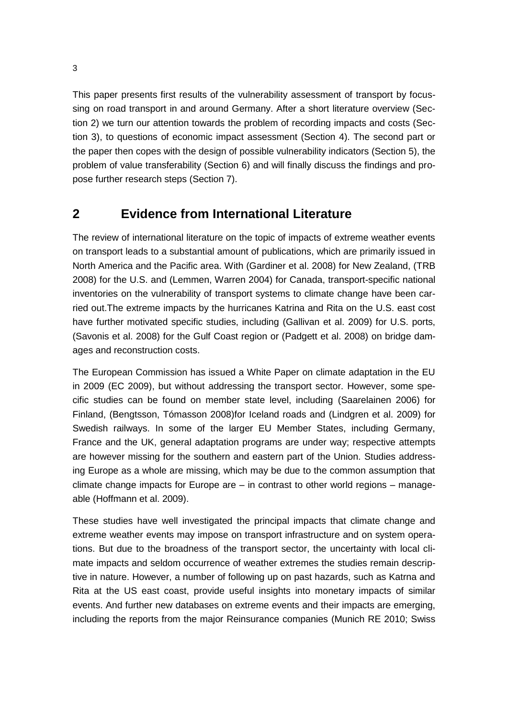This paper presents first results of the vulnerability assessment of transport by focussing on road transport in and around Germany. After a short literature overview (Section 2) we turn our attention towards the problem of recording impacts and costs (Section 3), to questions of economic impact assessment (Section 4). The second part or the paper then copes with the design of possible vulnerability indicators (Section 5), the problem of value transferability (Section 6) and will finally discuss the findings and propose further research steps (Section 7).

### **2 Evidence from International Literature**

The review of international literature on the topic of impacts of extreme weather events on transport leads to a substantial amount of publications, which are primarily issued in North America and the Pacific area. With (Gardiner et al. 2008) for New Zealand, (TRB 2008) for the U.S. and (Lemmen, Warren 2004) for Canada, transport-specific national inventories on the vulnerability of transport systems to climate change have been carried out.The extreme impacts by the hurricanes Katrina and Rita on the U.S. east cost have further motivated specific studies, including (Gallivan et al. 2009) for U.S. ports, (Savonis et al. 2008) for the Gulf Coast region or (Padgett et al. 2008) on bridge damages and reconstruction costs.

The European Commission has issued a White Paper on climate adaptation in the EU in 2009 (EC 2009), but without addressing the transport sector. However, some specific studies can be found on member state level, including (Saarelainen 2006) for Finland, (Bengtsson, Tómasson 2008)for Iceland roads and (Lindgren et al. 2009) for Swedish railways. In some of the larger EU Member States, including Germany, France and the UK, general adaptation programs are under way; respective attempts are however missing for the southern and eastern part of the Union. Studies addressing Europe as a whole are missing, which may be due to the common assumption that climate change impacts for Europe are – in contrast to other world regions – manageable (Hoffmann et al. 2009).

These studies have well investigated the principal impacts that climate change and extreme weather events may impose on transport infrastructure and on system operations. But due to the broadness of the transport sector, the uncertainty with local climate impacts and seldom occurrence of weather extremes the studies remain descriptive in nature. However, a number of following up on past hazards, such as Katrna and Rita at the US east coast, provide useful insights into monetary impacts of similar events. And further new databases on extreme events and their impacts are emerging, including the reports from the major Reinsurance companies (Munich RE 2010; Swiss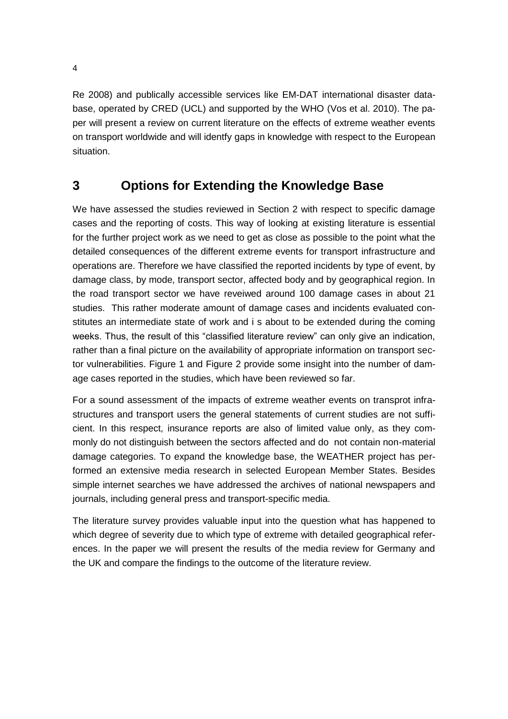Re 2008) and publically accessible services like EM-DAT international disaster database, operated by CRED (UCL) and supported by the WHO (Vos et al. 2010). The paper will present a review on current literature on the effects of extreme weather events on transport worldwide and will identfy gaps in knowledge with respect to the European situation.

### **3 Options for Extending the Knowledge Base**

We have assessed the studies reviewed in Section 2 with respect to specific damage cases and the reporting of costs. This way of looking at existing literature is essential for the further project work as we need to get as close as possible to the point what the detailed consequences of the different extreme events for transport infrastructure and operations are. Therefore we have classified the reported incidents by type of event, by damage class, by mode, transport sector, affected body and by geographical region. In the road transport sector we have reveiwed around 100 damage cases in about 21 studies. This rather moderate amount of damage cases and incidents evaluated constitutes an intermediate state of work and i s about to be extended during the coming weeks. Thus, the result of this "classified literature review" can only give an indication, rather than a final picture on the availability of appropriate information on transport sector vulnerabilities. [Figure 1](#page-10-0) and [Figure 2](#page-10-1) provide some insight into the number of damage cases reported in the studies, which have been reviewed so far.

For a sound assessment of the impacts of extreme weather events on transprot infrastructures and transport users the general statements of current studies are not sufficient. In this respect, insurance reports are also of limited value only, as they commonly do not distinguish between the sectors affected and do not contain non-material damage categories. To expand the knowledge base, the WEATHER project has performed an extensive media research in selected European Member States. Besides simple internet searches we have addressed the archives of national newspapers and journals, including general press and transport-specific media.

The literature survey provides valuable input into the question what has happened to which degree of severity due to which type of extreme with detailed geographical references. In the paper we will present the results of the media review for Germany and the UK and compare the findings to the outcome of the literature review.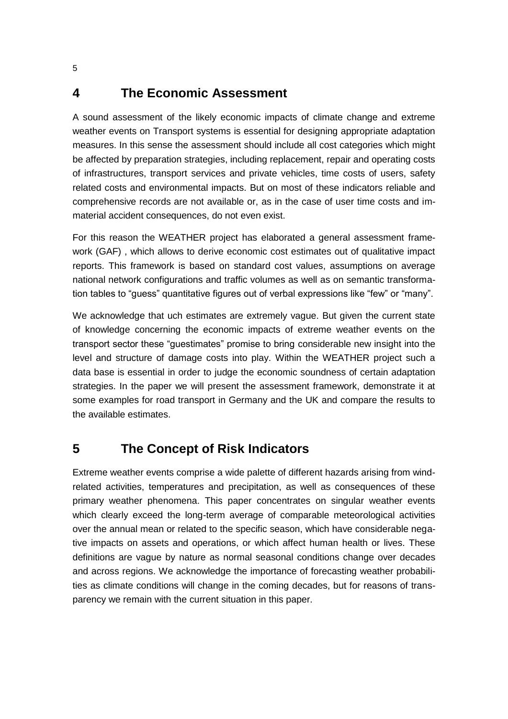#### **4 The Economic Assessment**

A sound assessment of the likely economic impacts of climate change and extreme weather events on Transport systems is essential for designing appropriate adaptation measures. In this sense the assessment should include all cost categories which might be affected by preparation strategies, including replacement, repair and operating costs of infrastructures, transport services and private vehicles, time costs of users, safety related costs and environmental impacts. But on most of these indicators reliable and comprehensive records are not available or, as in the case of user time costs and immaterial accident consequences, do not even exist.

For this reason the WEATHER project has elaborated a general assessment framework (GAF) , which allows to derive economic cost estimates out of qualitative impact reports. This framework is based on standard cost values, assumptions on average national network configurations and traffic volumes as well as on semantic transformation tables to "guess" quantitative figures out of verbal expressions like "few" or "many".

We acknowledge that uch estimates are extremely vague. But given the current state of knowledge concerning the economic impacts of extreme weather events on the transport sector these "guestimates" promise to bring considerable new insight into the level and structure of damage costs into play. Within the WEATHER project such a data base is essential in order to judge the economic soundness of certain adaptation strategies. In the paper we will present the assessment framework, demonstrate it at some examples for road transport in Germany and the UK and compare the results to the available estimates.

# **5 The Concept of Risk Indicators**

Extreme weather events comprise a wide palette of different hazards arising from windrelated activities, temperatures and precipitation, as well as consequences of these primary weather phenomena. This paper concentrates on singular weather events which clearly exceed the long-term average of comparable meteorological activities over the annual mean or related to the specific season, which have considerable negative impacts on assets and operations, or which affect human health or lives. These definitions are vague by nature as normal seasonal conditions change over decades and across regions. We acknowledge the importance of forecasting weather probabilities as climate conditions will change in the coming decades, but for reasons of transparency we remain with the current situation in this paper.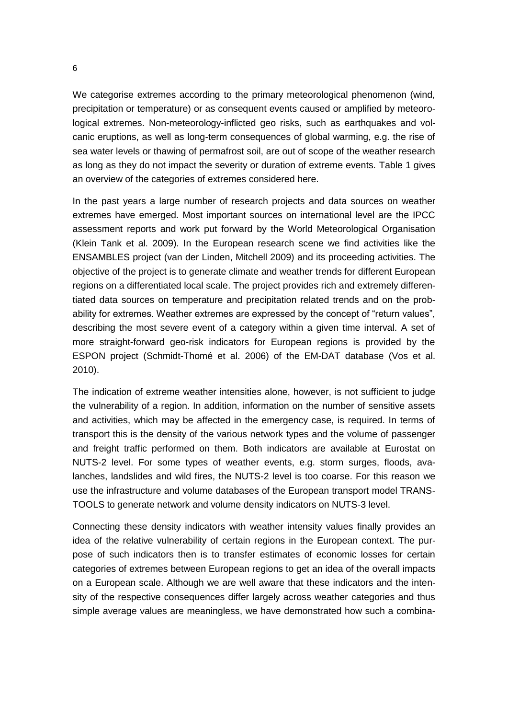We categorise extremes according to the primary meteorological phenomenon (wind, precipitation or temperature) or as consequent events caused or amplified by meteorological extremes. Non-meteorology-inflicted geo risks, such as earthquakes and volcanic eruptions, as well as long-term consequences of global warming, e.g. the rise of sea water levels or thawing of permafrost soil, are out of scope of the weather research as long as they do not impact the severity or duration of extreme events. [Table 1](#page-9-0) gives an overview of the categories of extremes considered here.

In the past years a large number of research projects and data sources on weather extremes have emerged. Most important sources on international level are the IPCC assessment reports and work put forward by the World Meteorological Organisation (Klein Tank et al. 2009). In the European research scene we find activities like the ENSAMBLES project (van der Linden, Mitchell 2009) and its proceeding activities. The objective of the project is to generate climate and weather trends for different European regions on a differentiated local scale. The project provides rich and extremely differentiated data sources on temperature and precipitation related trends and on the probability for extremes. Weather extremes are expressed by the concept of "return values", describing the most severe event of a category within a given time interval. A set of more straight-forward geo-risk indicators for European regions is provided by the ESPON project (Schmidt-Thomé et al. 2006) of the EM-DAT database (Vos et al. 2010).

The indication of extreme weather intensities alone, however, is not sufficient to judge the vulnerability of a region. In addition, information on the number of sensitive assets and activities, which may be affected in the emergency case, is required. In terms of transport this is the density of the various network types and the volume of passenger and freight traffic performed on them. Both indicators are available at Eurostat on NUTS-2 level. For some types of weather events, e.g. storm surges, floods, avalanches, landslides and wild fires, the NUTS-2 level is too coarse. For this reason we use the infrastructure and volume databases of the European transport model TRANS-TOOLS to generate network and volume density indicators on NUTS-3 level.

Connecting these density indicators with weather intensity values finally provides an idea of the relative vulnerability of certain regions in the European context. The purpose of such indicators then is to transfer estimates of economic losses for certain categories of extremes between European regions to get an idea of the overall impacts on a European scale. Although we are well aware that these indicators and the intensity of the respective consequences differ largely across weather categories and thus simple average values are meaningless, we have demonstrated how such a combina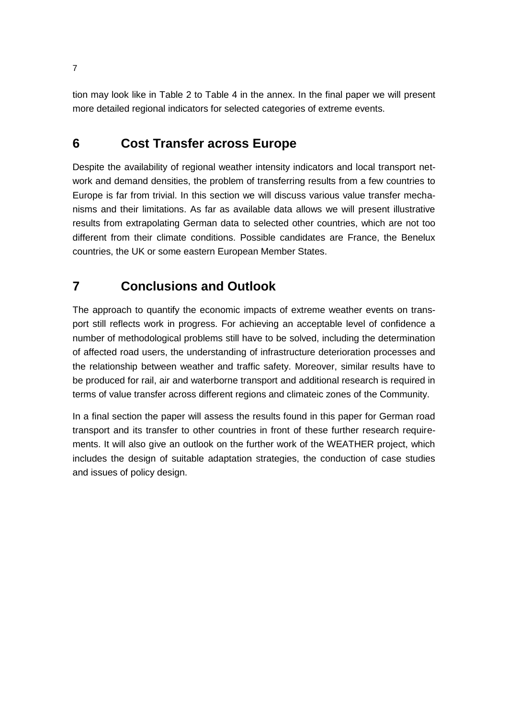tion may look like in [Table 2](#page-12-0) to [Table 4](#page-14-0) in the annex. In the final paper we will present more detailed regional indicators for selected categories of extreme events.

# **6 Cost Transfer across Europe**

Despite the availability of regional weather intensity indicators and local transport network and demand densities, the problem of transferring results from a few countries to Europe is far from trivial. In this section we will discuss various value transfer mechanisms and their limitations. As far as available data allows we will present illustrative results from extrapolating German data to selected other countries, which are not too different from their climate conditions. Possible candidates are France, the Benelux countries, the UK or some eastern European Member States.

# **7 Conclusions and Outlook**

The approach to quantify the economic impacts of extreme weather events on transport still reflects work in progress. For achieving an acceptable level of confidence a number of methodological problems still have to be solved, including the determination of affected road users, the understanding of infrastructure deterioration processes and the relationship between weather and traffic safety. Moreover, similar results have to be produced for rail, air and waterborne transport and additional research is required in terms of value transfer across different regions and climateic zones of the Community.

In a final section the paper will assess the results found in this paper for German road transport and its transfer to other countries in front of these further research requirements. It will also give an outlook on the further work of the WEATHER project, which includes the design of suitable adaptation strategies, the conduction of case studies and issues of policy design.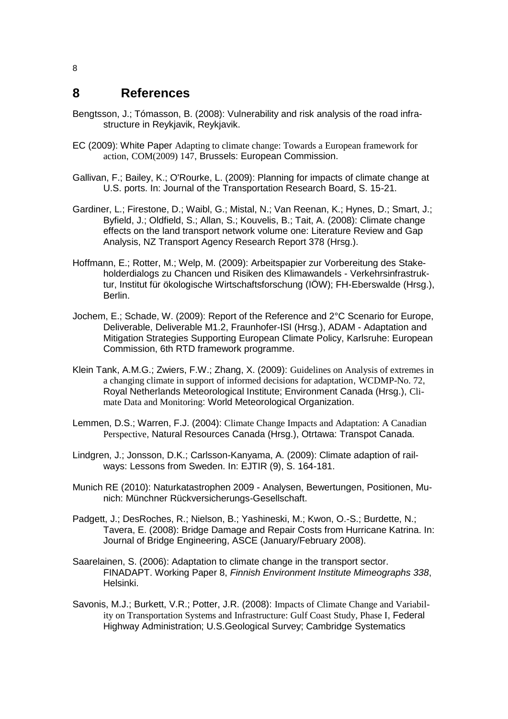#### **8 References**

- Bengtsson, J.; Tómasson, B. (2008): Vulnerability and risk analysis of the road infrastructure in Reykjavik, Reykjavik.
- EC (2009): White Paper Adapting to climate change: Towards a European framework for action, COM(2009) 147, Brussels: European Commission.
- Gallivan, F.; Bailey, K.; O'Rourke, L. (2009): Planning for impacts of climate change at U.S. ports. In: Journal of the Transportation Research Board, S. 15-21.
- Gardiner, L.; Firestone, D.; Waibl, G.; Mistal, N.; Van Reenan, K.; Hynes, D.; Smart, J.; Byfield, J.; Oldfield, S.; Allan, S.; Kouvelis, B.; Tait, A. (2008): Climate change effects on the land transport network volume one: Literature Review and Gap Analysis, NZ Transport Agency Research Report 378 (Hrsg.).
- Hoffmann, E.; Rotter, M.; Welp, M. (2009): Arbeitspapier zur Vorbereitung des Stakeholderdialogs zu Chancen und Risiken des Klimawandels - Verkehrsinfrastruktur, Institut für ökologische Wirtschaftsforschung (IÖW); FH-Eberswalde (Hrsg.), Berlin.
- Jochem, E.; Schade, W. (2009): Report of the Reference and 2°C Scenario for Europe, Deliverable, Deliverable M1.2, Fraunhofer-ISI (Hrsg.), ADAM - Adaptation and Mitigation Strategies Supporting European Climate Policy, Karlsruhe: European Commission, 6th RTD framework programme.
- Klein Tank, A.M.G.; Zwiers, F.W.; Zhang, X. (2009): Guidelines on Analysis of extremes in a changing climate in support of informed decisions for adaptation, WCDMP-No. 72, Royal Netherlands Meteorological Institute; Environment Canada (Hrsg.), Climate Data and Monitoring: World Meteorological Organization.
- Lemmen, D.S.; Warren, F.J. (2004): Climate Change Impacts and Adaptation: A Canadian Perspective, Natural Resources Canada (Hrsg.), Otrtawa: Transpot Canada.
- Lindgren, J.; Jonsson, D.K.; Carlsson-Kanyama, A. (2009): Climate adaption of railways: Lessons from Sweden. In: EJTIR (9), S. 164-181.
- Munich RE (2010): Naturkatastrophen 2009 Analysen, Bewertungen, Positionen, Munich: Münchner Rückversicherungs-Gesellschaft.
- Padgett, J.; DesRoches, R.; Nielson, B.; Yashineski, M.; Kwon, O.-S.; Burdette, N.; Tavera, E. (2008): Bridge Damage and Repair Costs from Hurricane Katrina. In: Journal of Bridge Engineering, ASCE (January/February 2008).
- Saarelainen, S. (2006): Adaptation to climate change in the transport sector. FINADAPT. Working Paper 8, *Finnish Environment Institute Mimeographs 338*, Helsinki.
- Savonis, M.J.; Burkett, V.R.; Potter, J.R. (2008): Impacts of Climate Change and Variability on Transportation Systems and Infrastructure: Gulf Coast Study, Phase I, Federal Highway Administration; U.S.Geological Survey; Cambridge Systematics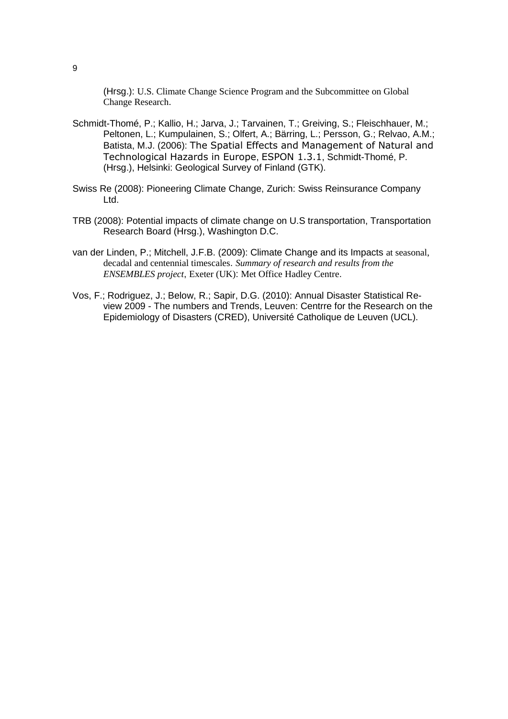(Hrsg.): U.S. Climate Change Science Program and the Subcommittee on Global Change Research.

- Schmidt-Thomé, P.; Kallio, H.; Jarva, J.; Tarvainen, T.; Greiving, S.; Fleischhauer, M.; Peltonen, L.; Kumpulainen, S.; Olfert, A.; Bärring, L.; Persson, G.; Relvao, A.M.; Batista, M.J. (2006): The Spatial Effects and Management of Natural and Technological Hazards in Europe, ESPON 1.3.1, Schmidt-Thomé, P. (Hrsg.), Helsinki: Geological Survey of Finland (GTK).
- Swiss Re (2008): Pioneering Climate Change, Zurich: Swiss Reinsurance Company Ltd.
- TRB (2008): Potential impacts of climate change on U.S transportation, Transportation Research Board (Hrsg.), Washington D.C.
- van der Linden, P.; Mitchell, J.F.B. (2009): Climate Change and its Impacts at seasonal, decadal and centennial timescales. *Summary of research and results from the ENSEMBLES project*, Exeter (UK): Met Office Hadley Centre.
- Vos, F.; Rodriguez, J.; Below, R.; Sapir, D.G. (2010): Annual Disaster Statistical Review 2009 - The numbers and Trends, Leuven: Centrre for the Research on the Epidemiology of Disasters (CRED), Université Catholique de Leuven (UCL).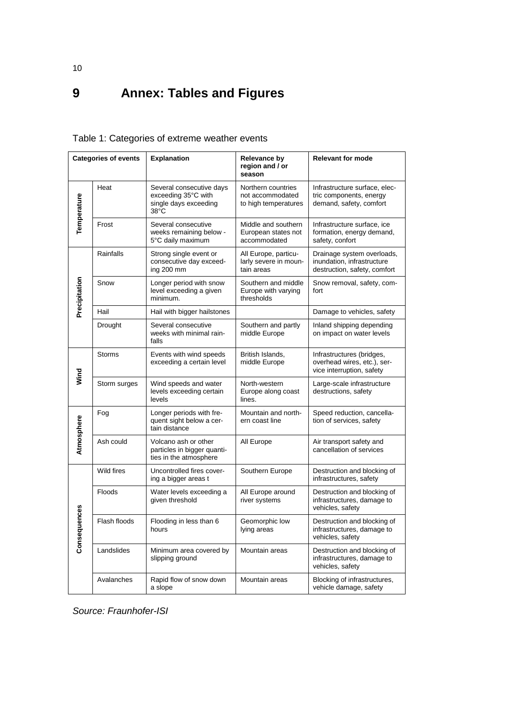# **9 Annex: Tables and Figures**

#### <span id="page-9-0"></span>Table 1: Categories of extreme weather events

| <b>Categories of events</b> |               | <b>Explanation</b>                                                                                                         | Relevance by<br>region and / or<br>season                      | <b>Relevant for mode</b>                                                                 |  |
|-----------------------------|---------------|----------------------------------------------------------------------------------------------------------------------------|----------------------------------------------------------------|------------------------------------------------------------------------------------------|--|
| Temperature                 | Heat          | Several consecutive days<br>exceeding 35°C with<br>single days exceeding<br>38°C                                           | Northern countries<br>not accommodated<br>to high temperatures | Infrastructure surface, elec-<br>tric components, energy<br>demand, safety, comfort      |  |
|                             | Frost         | Several consecutive<br>weeks remaining below -<br>5°C daily maximum                                                        | Middle and southern<br>European states not<br>accommodated     | Infrastructure surface, ice<br>formation, energy demand,<br>safety, confort              |  |
| Precipitation               | Rainfalls     | Strong single event or<br>consecutive day exceed-<br>ing 200 mm                                                            | All Europe, particu-<br>larly severe in moun-<br>tain areas    | Drainage system overloads,<br>inundation, infrastructure<br>destruction, safety, comfort |  |
|                             | Snow          | Longer period with snow<br>Southern and middle<br>level exceeding a given<br>Europe with varying<br>minimum.<br>thresholds |                                                                | Snow removal, safety, com-<br>fort                                                       |  |
|                             | Hail          | Hail with bigger hailstones                                                                                                |                                                                | Damage to vehicles, safety                                                               |  |
|                             | Drought       | Several consecutive<br>weeks with minimal rain-<br>falls                                                                   | Southern and partly<br>middle Europe                           | Inland shipping depending<br>on impact on water levels                                   |  |
| Wind                        | <b>Storms</b> | Events with wind speeds<br>exceeding a certain level                                                                       | British Islands,<br>middle Europe                              | Infrastructures (bridges,<br>overhead wires, etc.), ser-<br>vice interruption, safety    |  |
|                             | Storm surges  | Wind speeds and water<br>levels exceeding certain<br>levels                                                                | North-western<br>Europe along coast<br>lines.                  | Large-scale infrastructure<br>destructions, safety                                       |  |
| Atmosphere                  | Fog           | Longer periods with fre-<br>quent sight below a cer-<br>tain distance                                                      | Mountain and north-<br>ern coast line                          | Speed reduction, cancella-<br>tion of services, safety                                   |  |
|                             | Ash could     | Volcano ash or other<br>particles in bigger quanti-<br>ties in the atmosphere                                              | All Europe                                                     | Air transport safety and<br>cancellation of services                                     |  |
| Consequences                | Wild fires    | Uncontrolled fires cover-<br>ing a bigger areas t                                                                          | Southern Europe                                                | Destruction and blocking of<br>infrastructures, safety                                   |  |
|                             | <b>Floods</b> | Water levels exceeding a<br>given threshold                                                                                | All Europe around<br>river systems                             | Destruction and blocking of<br>infrastructures, damage to<br>vehicles, safety            |  |
|                             | Flash floods  | Flooding in less than 6<br>hours                                                                                           | Geomorphic low<br>lying areas                                  | Destruction and blocking of<br>infrastructures, damage to<br>vehicles, safety            |  |
|                             | Landslides    | Minimum area covered by<br>slipping ground                                                                                 | Mountain areas                                                 | Destruction and blocking of<br>infrastructures, damage to<br>vehicles, safety            |  |
|                             | Avalanches    | Rapid flow of snow down<br>a slope                                                                                         | Mountain areas                                                 | Blocking of infrastructures,<br>vehicle damage, safety                                   |  |

*Source: Fraunhofer-ISI*

10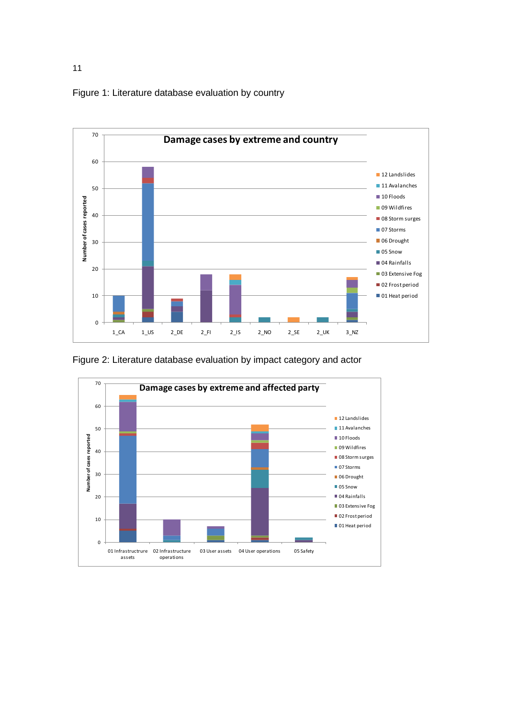<span id="page-10-0"></span>Figure 1: Literature database evaluation by country



<span id="page-10-1"></span>Figure 2: Literature database evaluation by impact category and actor



11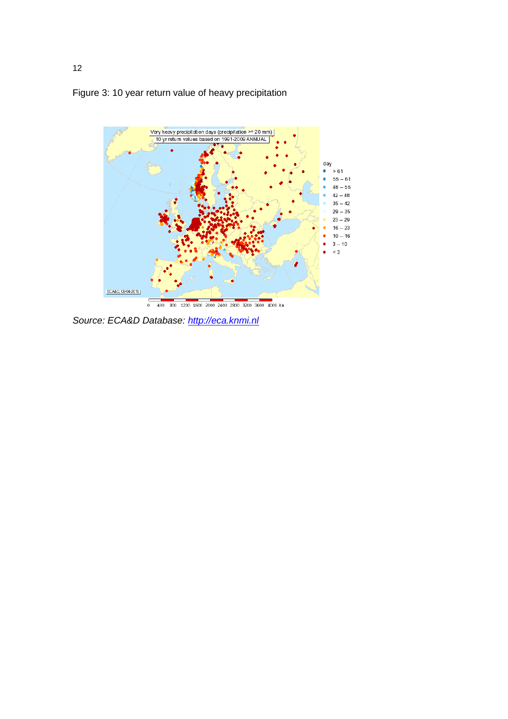



*Source: ECA&D Database: [http://eca.knmi.nl](http://eca.knmi.nl/)*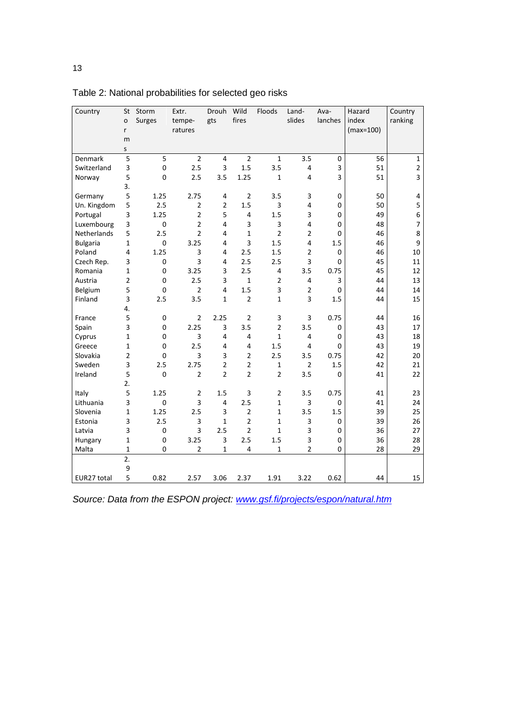| Country         | St                      | Storm       | Extr.          | Drouh          | Wild           | Floods         | Land-          | Ava-     | Hazard      | Country                  |
|-----------------|-------------------------|-------------|----------------|----------------|----------------|----------------|----------------|----------|-------------|--------------------------|
|                 | $\mathbf{o}$            | Surges      | tempe-         | gts            | fires          |                | slides         | lanches  | index       | ranking                  |
|                 | r                       |             | ratures        |                |                |                |                |          | $(max=100)$ |                          |
|                 | m                       |             |                |                |                |                |                |          |             |                          |
|                 | S                       |             |                |                |                |                |                |          |             |                          |
| Denmark         | 5                       | 5           | $\overline{2}$ | $\overline{4}$ | $\overline{2}$ | $\mathbf{1}$   | 3.5            | 0        | 56          | $\mathbf{1}$             |
| Switzerland     | 3                       | $\mathbf 0$ | 2.5            | 3              | 1.5            | 3.5            | 4              | 3        | 51          | $\mathbf 2$              |
| Norway          | 5                       | $\pmb{0}$   | 2.5            | 3.5            | 1.25           | $\mathbf 1$    | $\overline{4}$ | 3        | 51          | 3                        |
|                 | 3.                      |             |                |                |                |                |                |          |             |                          |
| Germany         | 5                       | 1.25        | 2.75           | $\overline{4}$ | $\overline{2}$ | 3.5            | 3              | 0        | 50          | 4                        |
| Un. Kingdom     | 5                       | 2.5         | $\overline{2}$ | $\overline{2}$ | 1.5            | 3              | 4              | 0        | 50          | 5                        |
| Portugal        | 3                       | 1.25        | $\overline{2}$ | 5              | $\overline{4}$ | 1.5            | 3              | $\Omega$ | 49          | $\boldsymbol{6}$         |
| Luxembourg      | 3                       | $\pmb{0}$   | $\overline{2}$ | $\overline{4}$ | 3              | 3              | 4              | 0        | 48          | $\overline{\mathcal{I}}$ |
| Netherlands     | 5                       | 2.5         | $\overline{2}$ | 4              | $\mathbf{1}$   | $\overline{2}$ | $\overline{c}$ | 0        | 46          | 8                        |
| <b>Bulgaria</b> | $\mathbf{1}$            | $\mathbf 0$ | 3.25           | 4              | 3              | 1.5            | 4              | 1.5      | 46          | 9                        |
| Poland          | $\overline{\mathbf{4}}$ | 1.25        | 3              | 4              | 2.5            | 1.5            | $\overline{2}$ | 0        | 46          | 10                       |
| Czech Rep.      | 3                       | $\pmb{0}$   | 3              | 4              | 2.5            | 2.5            | 3              | 0        | 45          | 11                       |
| Romania         | 1                       | $\mathbf 0$ | 3.25           | 3              | 2.5            | 4              | 3.5            | 0.75     | 45          | 12                       |
| Austria         | $\mathbf 2$             | $\mathbf 0$ | 2.5            | 3              | $\mathbf{1}$   | $\overline{2}$ | 4              | 3        | 44          | 13                       |
| Belgium         | 5                       | $\mathbf 0$ | 2              | $\overline{4}$ | 1.5            | 3              | $\overline{2}$ | 0        | 44          | 14                       |
| Finland         | 3                       | 2.5         | 3.5            | $\mathbf{1}$   | $\overline{2}$ | $\mathbf 1$    | 3              | 1.5      | 44          | 15                       |
|                 | 4.                      |             |                |                |                |                |                |          |             |                          |
| France          | 5                       | $\mathbf 0$ | $\overline{2}$ | 2.25           | $\overline{2}$ | 3              | 3              | 0.75     | 44          | 16                       |
| Spain           | 3                       | $\pmb{0}$   | 2.25           | 3              | 3.5            | $\overline{2}$ | 3.5            | 0        | 43          | 17                       |
| Cyprus          | $\mathbf 1$             | $\pmb{0}$   | 3              | $\overline{4}$ | 4              | $\mathbf 1$    | 4              | 0        | 43          | 18                       |
| Greece          | $\mathbf{1}$            | $\mathbf 0$ | 2.5            | 4              | 4              | 1.5            | 4              | 0        | 43          | 19                       |
| Slovakia        | $\overline{2}$          | $\mathbf 0$ | 3              | 3              | $\overline{2}$ | 2.5            | 3.5            | 0.75     | 42          | 20                       |
| Sweden          | 3                       | 2.5         | 2.75           | $\overline{2}$ | $\overline{2}$ | $\mathbf 1$    | $\overline{2}$ | 1.5      | 42          | 21                       |
| Ireland         | 5                       | $\mathbf 0$ | $\overline{2}$ | $\overline{2}$ | $\overline{2}$ | $\overline{2}$ | 3.5            | 0        | 41          | 22                       |
|                 | 2.                      |             |                |                |                |                |                |          |             |                          |
| Italy           | 5                       | 1.25        | $\overline{2}$ | 1.5            | 3              | $\overline{2}$ | 3.5            | 0.75     | 41          | 23                       |
| Lithuania       | 3                       | $\pmb{0}$   | 3              | 4              | 2.5            | $\mathbf 1$    | 3              | $\Omega$ | 41          | 24                       |
| Slovenia        | $\mathbf{1}$            | 1.25        | 2.5            | $\overline{3}$ | $\overline{2}$ | $\mathbf 1$    | 3.5            | 1.5      | 39          | 25                       |
| Estonia         | 3                       | 2.5         | 3              | $\mathbf{1}$   | $\overline{2}$ | $\mathbf 1$    | 3              | 0        | 39          | 26                       |
| Latvia          | 3                       | $\pmb{0}$   | 3              | 2.5            | $\overline{2}$ | $\mathbf{1}$   | 3              | 0        | 36          | 27                       |
| Hungary         | $\mathbf 1$             | $\pmb{0}$   | 3.25           | 3              | 2.5            | 1.5            | 3              | 0        | 36          | 28                       |
| Malta           | $\mathbf{1}$            | $\pmb{0}$   | $\overline{2}$ | $\mathbf{1}$   | 4              | $\mathbf 1$    | $\overline{2}$ | 0        | 28          | 29                       |
|                 | 2.                      |             |                |                |                |                |                |          |             |                          |
|                 | 9                       |             |                |                |                |                |                |          |             |                          |
| EUR27 total     | 5                       | 0.82        | 2.57           | 3.06           | 2.37           | 1.91           | 3.22           | 0.62     | 44          | 15                       |

<span id="page-12-0"></span>Table 2: National probabilities for selected geo risks

*Source: Data from the ESPON project: [www.gsf.fi/projects/espon/natural.htm](http://www.gsf.fi/projects/espon/natural.htm)*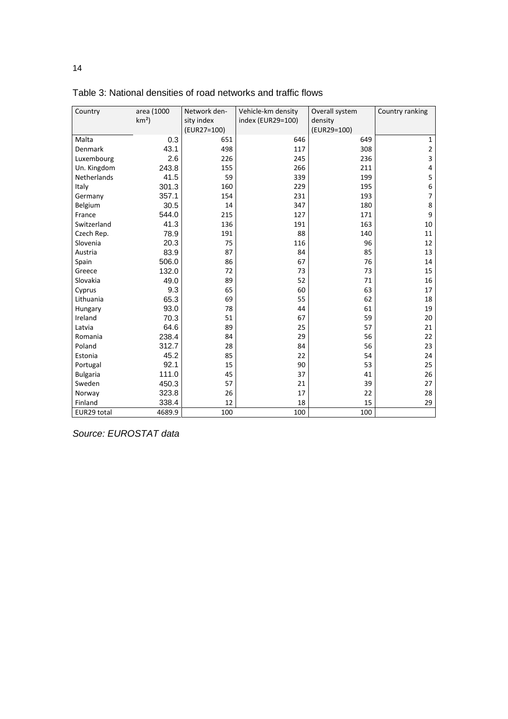| Country         | area (1000 | Network den- | Vehicle-km density | Overall system | Country ranking          |
|-----------------|------------|--------------|--------------------|----------------|--------------------------|
|                 | $km2$ )    | sity index   | index (EUR29=100)  | density        |                          |
|                 |            | (EUR27=100)  |                    | (EUR29=100)    |                          |
| Malta           | 0.3        | 651          | 646                | 649            | $\mathbf{1}$             |
| Denmark         | 43.1       | 498          | 117                | 308            | $\mathbf 2$              |
| Luxembourg      | 2.6        | 226          | 245                | 236            | 3                        |
| Un. Kingdom     | 243.8      | 155          | 266                | 211            | 4                        |
| Netherlands     | 41.5       | 59           | 339                | 199            | 5                        |
| Italy           | 301.3      | 160          | 229                | 195            | 6                        |
| Germany         | 357.1      | 154          | 231                | 193            | $\overline{\phantom{a}}$ |
| Belgium         | 30.5       | 14           | 347                | 180            | 8                        |
| France          | 544.0      | 215          | 127                | 171            | $\boldsymbol{9}$         |
| Switzerland     | 41.3       | 136          | 191                | 163            | $10\,$                   |
| Czech Rep.      | 78.9       | 191          | 88                 | 140            | 11                       |
| Slovenia        | 20.3       | 75           | 116                | 96             | 12                       |
| Austria         | 83.9       | 87           | 84                 | 85             | 13                       |
| Spain           | 506.0      | 86           | 67                 | 76             | 14                       |
| Greece          | 132.0      | 72           | 73                 | 73             | 15                       |
| Slovakia        | 49.0       | 89           | 52                 | 71             | 16                       |
| Cyprus          | 9.3        | 65           | 60                 | 63             | 17                       |
| Lithuania       | 65.3       | 69           | 55                 | 62             | 18                       |
| Hungary         | 93.0       | 78           | 44                 | 61             | 19                       |
| Ireland         | 70.3       | 51           | 67                 | 59             | 20                       |
| Latvia          | 64.6       | 89           | 25                 | 57             | 21                       |
| Romania         | 238.4      | 84           | 29                 | 56             | 22                       |
| Poland          | 312.7      | 28           | 84                 | 56             | 23                       |
| Estonia         | 45.2       | 85           | 22                 | 54             | 24                       |
| Portugal        | 92.1       | 15           | 90                 | 53             | 25                       |
| <b>Bulgaria</b> | 111.0      | 45           | 37                 | 41             | 26                       |
| Sweden          | 450.3      | 57           | 21                 | 39             | 27                       |
| Norway          | 323.8      | 26           | 17                 | 22             | 28                       |
| Finland         | 338.4      | 12           | 18                 | 15             | 29                       |
| EUR29 total     | 4689.9     | 100          | 100                | 100            |                          |

Table 3: National densities of road networks and traffic flows

*Source: EUROSTAT data*